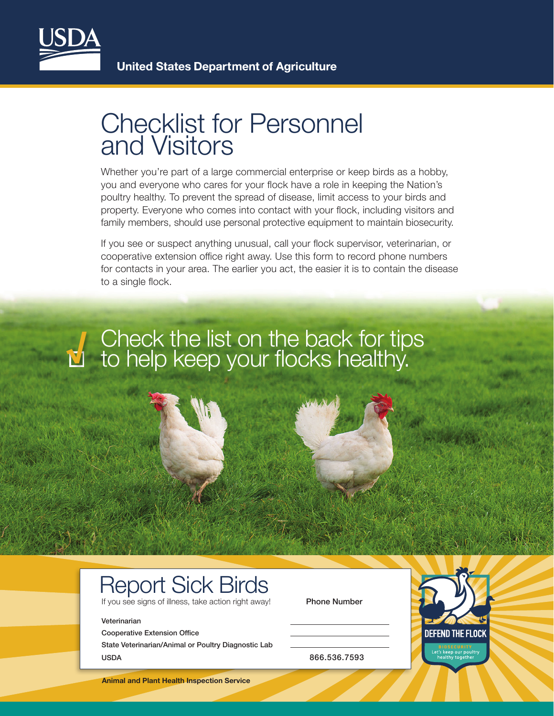

### Checklist for Personnel and Visitors

Whether you're part of a large commercial enterprise or keep birds as a hobby, you and everyone who cares for your flock have a role in keeping the Nation's poultry healthy. To prevent the spread of disease, limit access to your birds and property. Everyone who comes into contact with your flock, including visitors and family members, should use personal protective equipment to maintain biosecurity.

If you see or suspect anything unusual, call your flock supervisor, veterinarian, or cooperative extension office right away. Use this form to record phone numbers for contacts in your area. The earlier you act, the easier it is to contain the disease to a single flock.

### **√** Check the list on the back for tips to help keep your flocks healthy.

# Report Sick Birds

If you see signs of illness, take action right away! Phone Number

#### Veterinarian

Cooperative Extension Office

State Veterinarian/Animal or Poultry Diagnostic Lab USDA 866.536.7593

**Animal and Plant Health Inspection Service**